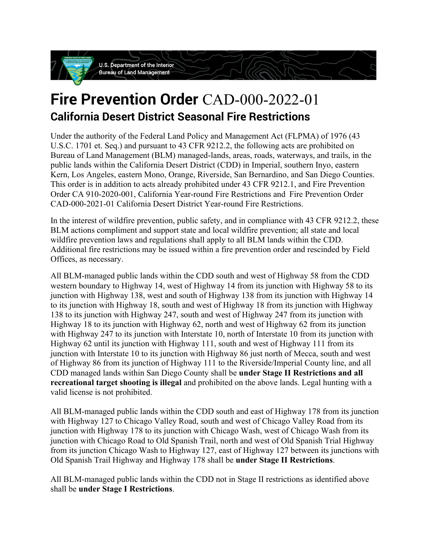

# **Fire Prevention Order** CAD-000-2022-01 **California Desert District Seasonal Fire Restrictions**

Under the authority of the Federal Land Policy and Management Act (FLPMA) of 1976 (43 U.S.C. 1701 et. Seq.) and pursuant to 43 CFR 9212.2, the following acts are prohibited on Bureau of Land Management (BLM) managed-lands, areas, roads, waterways, and trails, in the public lands within the California Desert District (CDD) in Imperial, southern Inyo, eastern Kern, Los Angeles, eastern Mono, Orange, Riverside, San Bernardino, and San Diego Counties. This order is in addition to acts already prohibited under 43 CFR 9212.1, and Fire Prevention Order CA 910-2020-001, California Year-round Fire Restrictions and Fire Prevention Order CAD-000-2021-01 California Desert District Year-round Fire Restrictions.

In the interest of wildfire prevention, public safety, and in compliance with 43 CFR 9212.2, these BLM actions compliment and support state and local wildfire prevention; all state and local wildfire prevention laws and regulations shall apply to all BLM lands within the CDD. Additional fire restrictions may be issued within a fire prevention order and rescinded by Field Offices, as necessary.

All BLM-managed public lands within the CDD south and west of Highway 58 from the CDD western boundary to Highway 14, west of Highway 14 from its junction with Highway 58 to its junction with Highway 138, west and south of Highway 138 from its junction with Highway 14 to its junction with Highway 18, south and west of Highway 18 from its junction with Highway 138 to its junction with Highway 247, south and west of Highway 247 from its junction with Highway 18 to its junction with Highway 62, north and west of Highway 62 from its junction with Highway 247 to its junction with Interstate 10, north of Interstate 10 from its junction with Highway 62 until its junction with Highway 111, south and west of Highway 111 from its junction with Interstate 10 to its junction with Highway 86 just north of Mecca, south and west of Highway 86 from its junction of Highway 111 to the Riverside/Imperial County line, and all CDD managed lands within San Diego County shall be **under Stage II Restrictions and all recreational target shooting is illegal** and prohibited on the above lands. Legal hunting with a valid license is not prohibited.

All BLM-managed public lands within the CDD south and east of Highway 178 from its junction with Highway 127 to Chicago Valley Road, south and west of Chicago Valley Road from its junction with Highway 178 to its junction with Chicago Wash, west of Chicago Wash from its junction with Chicago Road to Old Spanish Trail, north and west of Old Spanish Trial Highway from its junction Chicago Wash to Highway 127, east of Highway 127 between its junctions with Old Spanish Trail Highway and Highway 178 shall be **under Stage II Restrictions**.

All BLM-managed public lands within the CDD not in Stage II restrictions as identified above shall be **under Stage I Restrictions**.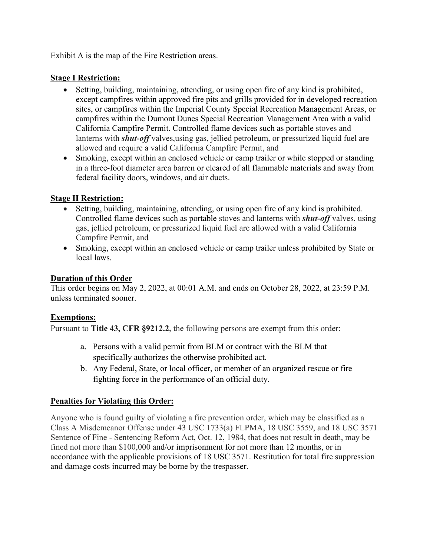Exhibit A is the map of the Fire Restriction areas.

#### **Stage I Restriction:**

- Setting, building, maintaining, attending, or using open fire of any kind is prohibited, except campfires within approved fire pits and grills provided for in developed recreation sites, or campfires within the Imperial County Special Recreation Management Areas, or campfires within the Dumont Dunes Special Recreation Management Area with a valid California Campfire Permit. Controlled flame devices such as portable stoves and lanterns with *shut-off* valves, using gas, jellied petroleum, or pressurized liquid fuel are allowed and require a valid California Campfire Permit, and
- Smoking, except within an enclosed vehicle or camp trailer or while stopped or standing in a three-foot diameter area barren or cleared of all flammable materials and away from federal facility doors, windows, and air ducts.

# **Stage II Restriction:**

- Setting, building, maintaining, attending, or using open fire of any kind is prohibited. Controlled flame devices such as portable stoves and lanterns with *shut-off* valves, using gas, jellied petroleum, or pressurized liquid fuel are allowed with a valid California Campfire Permit, and
- Smoking, except within an enclosed vehicle or camp trailer unless prohibited by State or local laws.

### **Duration of this Order**

This order begins on May 2, 2022, at 00:01 A.M. and ends on October 28, 2022, at 23:59 P.M. unless terminated sooner.

#### **Exemptions:**

Pursuant to **Title 43, CFR §9212.2,** the following persons are exempt from this order:

- a. Persons with a valid permit from BLM or contract with the BLM that specifically authorizes the otherwise prohibited act.
- b. Any Federal, State, or local officer, or member of an organized rescue or fire fighting force in the performance of an official duty.

# **Penalties for Violating this Order:**

Anyone who is found guilty of violating a fire prevention order, which may be classified as a Class A Misdemeanor Offense under 43 USC 1733(a) FLPMA, 18 USC 3559, and 18 USC 3571 Sentence of Fine - Sentencing Reform Act, Oct. 12, 1984, that does not result in death, may be fined not more than \$100,000 and/or imprisonment for not more than 12 months, or in accordance with the applicable provisions of 18 USC 3571. Restitution for total fire suppression and damage costs incurred may be borne by the trespasser.